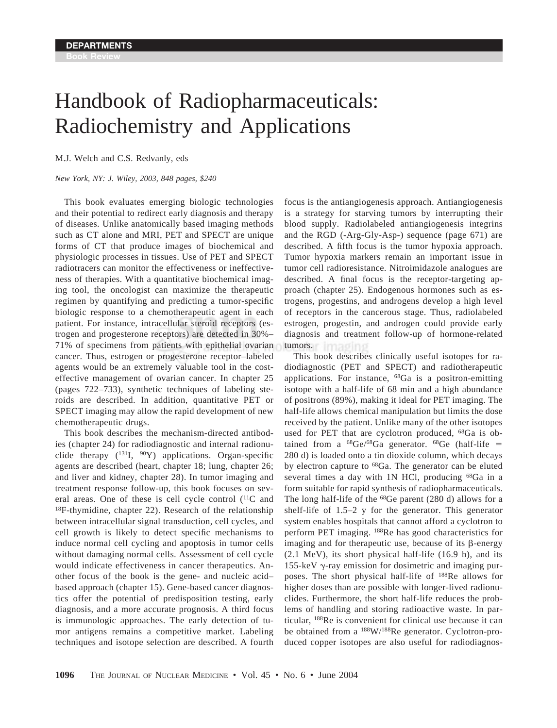## Handbook of Radiopharmaceuticals: Radiochemistry and Applications

M.J. Welch and C.S. Redvanly, eds

*New York, NY: J. Wiley, 2003, 848 pages, \$240*

This book evaluates emerging biologic technologies and their potential to redirect early diagnosis and therapy of diseases. Unlike anatomically based imaging methods such as CT alone and MRI, PET and SPECT are unique forms of CT that produce images of biochemical and physiologic processes in tissues. Use of PET and SPECT radiotracers can monitor the effectiveness or ineffectiveness of therapies. With a quantitative biochemical imaging tool, the oncologist can maximize the therapeutic regimen by quantifying and predicting a tumor-specific biologic response to a chemotherapeutic agent in each patient. For instance, intracellular steroid receptors (estrogen and progesterone receptors) are detected in 30%– 71% of specimens from patients with epithelial ovarian cancer. Thus, estrogen or progesterone receptor–labeled agents would be an extremely valuable tool in the costeffective management of ovarian cancer. In chapter 25 (pages 722–733), synthetic techniques of labeling steroids are described. In addition, quantitative PET or SPECT imaging may allow the rapid development of new chemotherapeutic drugs.

This book describes the mechanism-directed antibodies (chapter 24) for radiodiagnostic and internal radionuclide therapy  $(^{131}I, ^{90}Y)$  applications. Organ-specific agents are described (heart, chapter 18; lung, chapter 26; and liver and kidney, chapter 28). In tumor imaging and treatment response follow-up, this book focuses on several areas. One of these is cell cycle control  $(^{11}C$  and 18F-thymidine, chapter 22). Research of the relationship between intracellular signal transduction, cell cycles, and cell growth is likely to detect specific mechanisms to induce normal cell cycling and apoptosis in tumor cells without damaging normal cells. Assessment of cell cycle would indicate effectiveness in cancer therapeutics. Another focus of the book is the gene- and nucleic acid– based approach (chapter 15). Gene-based cancer diagnostics offer the potential of predisposition testing, early diagnosis, and a more accurate prognosis. A third focus is immunologic approaches. The early detection of tumor antigens remains a competitive market. Labeling techniques and isotope selection are described. A fourth

focus is the antiangiogenesis approach. Antiangiogenesis is a strategy for starving tumors by interrupting their blood supply. Radiolabeled antiangiogenesis integrins and the RGD (-Arg-Gly-Asp-) sequence (page 671) are described. A fifth focus is the tumor hypoxia approach. Tumor hypoxia markers remain an important issue in tumor cell radioresistance. Nitroimidazole analogues are described. A final focus is the receptor-targeting approach (chapter 25). Endogenous hormones such as estrogens, progestins, and androgens develop a high level of receptors in the cancerous stage. Thus, radiolabeled estrogen, progestin, and androgen could provide early diagnosis and treatment follow-up of hormone-related tumors.

This book describes clinically useful isotopes for radiodiagnostic (PET and SPECT) and radiotherapeutic applications. For instance, 68Ga is a positron-emitting isotope with a half-life of 68 min and a high abundance of positrons (89%), making it ideal for PET imaging. The half-life allows chemical manipulation but limits the dose received by the patient. Unlike many of the other isotopes used for PET that are cyclotron produced, 68Ga is obtained from a  $^{68}$ Ge/ $^{68}$ Ga generator.  $^{68}$ Ge (half-life = 280 d) is loaded onto a tin dioxide column, which decays by electron capture to 68Ga. The generator can be eluted several times a day with 1N HCl, producing <sup>68</sup>Ga in a form suitable for rapid synthesis of radiopharmaceuticals. The long half-life of the <sup>68</sup>Ge parent (280 d) allows for a shelf-life of 1.5–2 y for the generator. This generator system enables hospitals that cannot afford a cyclotron to perform PET imaging. 188Re has good characteristics for imaging and for therapeutic use, because of its  $\beta$ -energy (2.1 MeV), its short physical half-life (16.9 h), and its 155-keV  $\gamma$ -ray emission for dosimetric and imaging purposes. The short physical half-life of 188Re allows for higher doses than are possible with longer-lived radionuclides. Furthermore, the short half-life reduces the problems of handling and storing radioactive waste. In particular, 188Re is convenient for clinical use because it can be obtained from a 188W/188Re generator. Cyclotron-produced copper isotopes are also useful for radiodiagnos